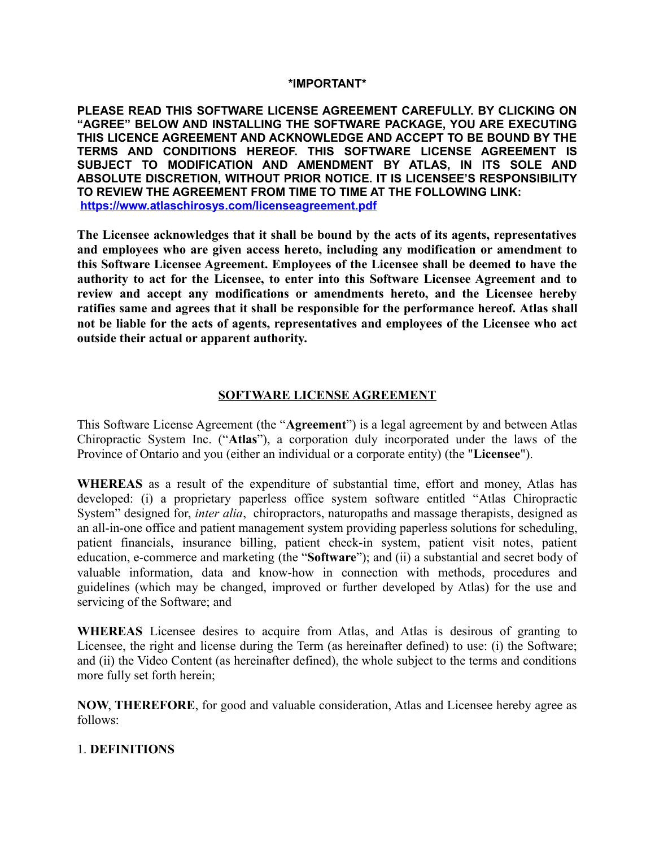#### **\*IMPORTANT\***

**PLEASE READ THIS SOFTWARE LICENSE AGREEMENT CAREFULLY. BY CLICKING ON "AGREE" BELOW AND INSTALLING THE SOFTWARE PACKAGE, YOU ARE EXECUTING THIS LICENCE AGREEMENT AND ACKNOWLEDGE AND ACCEPT TO BE BOUND BY THE TERMS AND CONDITIONS HEREOF. THIS SOFTWARE LICENSE AGREEMENT IS SUBJECT TO MODIFICATION AND AMENDMENT BY ATLAS, IN ITS SOLE AND ABSOLUTE DISCRETION, WITHOUT PRIOR NOTICE. IT IS LICENSEE'S RESPONSIBILITY TO REVIEW THE AGREEMENT FROM TIME TO TIME AT THE FOLLOWING LINK: <https://www.atlaschirosys.com/licenseagreement.pdf>**

**The Licensee acknowledges that it shall be bound by the acts of its agents, representatives and employees who are given access hereto, including any modification or amendment to this Software Licensee Agreement. Employees of the Licensee shall be deemed to have the authority to act for the Licensee, to enter into this Software Licensee Agreement and to review and accept any modifications or amendments hereto, and the Licensee hereby ratifies same and agrees that it shall be responsible for the performance hereof. Atlas shall not be liable for the acts of agents, representatives and employees of the Licensee who act outside their actual or apparent authority.** 

#### **SOFTWARE LICENSE AGREEMENT**

This Software License Agreement (the "**Agreement**") is a legal agreement by and between Atlas Chiropractic System Inc. ("**Atlas**"), a corporation duly incorporated under the laws of the Province of Ontario and you (either an individual or a corporate entity) (the "**Licensee**").

**WHEREAS** as a result of the expenditure of substantial time, effort and money, Atlas has developed: (i) a proprietary paperless office system software entitled "Atlas Chiropractic System" designed for, *inter alia*, chiropractors, naturopaths and massage therapists, designed as an all-in-one office and patient management system providing paperless solutions for scheduling, patient financials, insurance billing, patient check-in system, patient visit notes, patient education, e-commerce and marketing (the "**Software**"); and (ii) a substantial and secret body of valuable information, data and know-how in connection with methods, procedures and guidelines (which may be changed, improved or further developed by Atlas) for the use and servicing of the Software; and

**WHEREAS** Licensee desires to acquire from Atlas, and Atlas is desirous of granting to Licensee, the right and license during the Term (as hereinafter defined) to use: (i) the Software; and (ii) the Video Content (as hereinafter defined), the whole subject to the terms and conditions more fully set forth herein;

**NOW**, **THEREFORE**, for good and valuable consideration, Atlas and Licensee hereby agree as follows:

#### 1. **DEFINITIONS**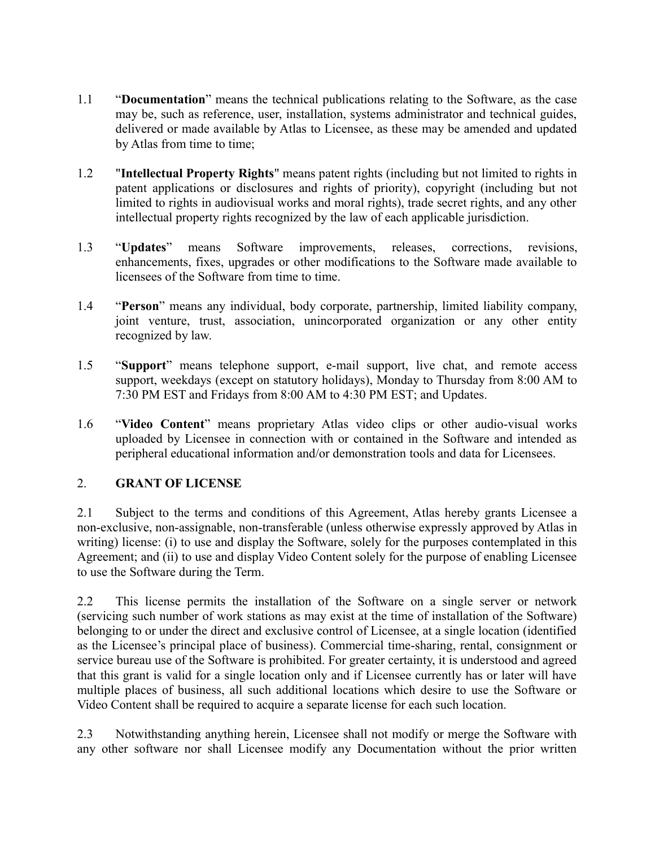- 1.1 "**Documentation**" means the technical publications relating to the Software, as the case may be, such as reference, user, installation, systems administrator and technical guides, delivered or made available by Atlas to Licensee, as these may be amended and updated by Atlas from time to time;
- 1.2 "**Intellectual Property Rights**" means patent rights (including but not limited to rights in patent applications or disclosures and rights of priority), copyright (including but not limited to rights in audiovisual works and moral rights), trade secret rights, and any other intellectual property rights recognized by the law of each applicable jurisdiction.
- 1.3 "**Updates**" means Software improvements, releases, corrections, revisions, enhancements, fixes, upgrades or other modifications to the Software made available to licensees of the Software from time to time.
- 1.4 "**Person**" means any individual, body corporate, partnership, limited liability company, joint venture, trust, association, unincorporated organization or any other entity recognized by law.
- 1.5 "**Support**" means telephone support, e-mail support, live chat, and remote access support, weekdays (except on statutory holidays), Monday to Thursday from 8:00 AM to 7:30 PM EST and Fridays from 8:00 AM to 4:30 PM EST; and Updates.
- 1.6 "**Video Content**" means proprietary Atlas video clips or other audio-visual works uploaded by Licensee in connection with or contained in the Software and intended as peripheral educational information and/or demonstration tools and data for Licensees.

### 2. **GRANT OF LICENSE**

2.1 Subject to the terms and conditions of this Agreement, Atlas hereby grants Licensee a non-exclusive, non-assignable, non-transferable (unless otherwise expressly approved by Atlas in writing) license: (i) to use and display the Software, solely for the purposes contemplated in this Agreement; and (ii) to use and display Video Content solely for the purpose of enabling Licensee to use the Software during the Term.

2.2 This license permits the installation of the Software on a single server or network (servicing such number of work stations as may exist at the time of installation of the Software) belonging to or under the direct and exclusive control of Licensee, at a single location (identified as the Licensee's principal place of business). Commercial time-sharing, rental, consignment or service bureau use of the Software is prohibited. For greater certainty, it is understood and agreed that this grant is valid for a single location only and if Licensee currently has or later will have multiple places of business, all such additional locations which desire to use the Software or Video Content shall be required to acquire a separate license for each such location.

2.3 Notwithstanding anything herein, Licensee shall not modify or merge the Software with any other software nor shall Licensee modify any Documentation without the prior written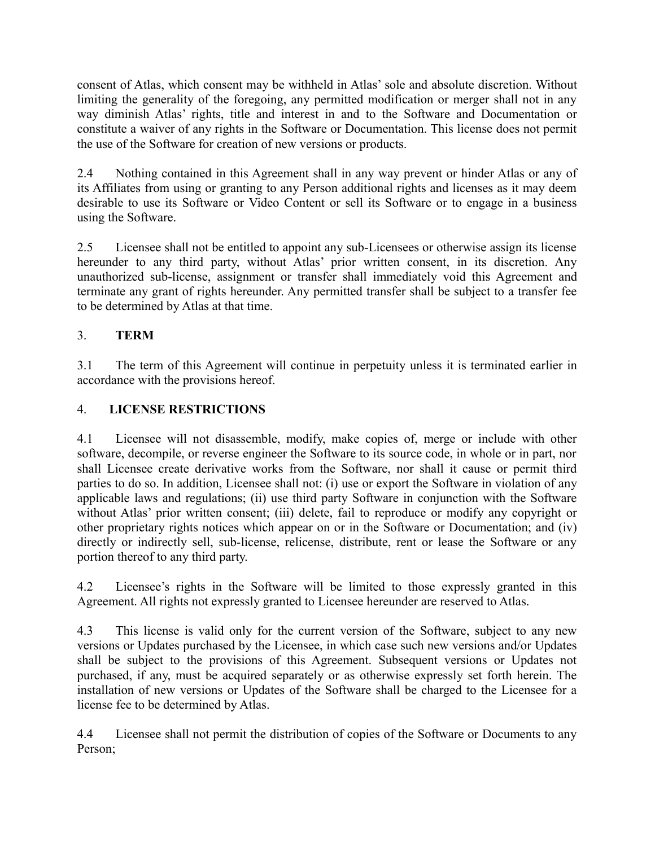consent of Atlas, which consent may be withheld in Atlas' sole and absolute discretion. Without limiting the generality of the foregoing, any permitted modification or merger shall not in any way diminish Atlas' rights, title and interest in and to the Software and Documentation or constitute a waiver of any rights in the Software or Documentation. This license does not permit the use of the Software for creation of new versions or products.

2.4 Nothing contained in this Agreement shall in any way prevent or hinder Atlas or any of its Affiliates from using or granting to any Person additional rights and licenses as it may deem desirable to use its Software or Video Content or sell its Software or to engage in a business using the Software.

2.5 Licensee shall not be entitled to appoint any sub-Licensees or otherwise assign its license hereunder to any third party, without Atlas' prior written consent, in its discretion. Any unauthorized sub-license, assignment or transfer shall immediately void this Agreement and terminate any grant of rights hereunder. Any permitted transfer shall be subject to a transfer fee to be determined by Atlas at that time.

# 3. **TERM**

3.1 The term of this Agreement will continue in perpetuity unless it is terminated earlier in accordance with the provisions hereof.

## 4. **LICENSE RESTRICTIONS**

4.1 Licensee will not disassemble, modify, make copies of, merge or include with other software, decompile, or reverse engineer the Software to its source code, in whole or in part, nor shall Licensee create derivative works from the Software, nor shall it cause or permit third parties to do so. In addition, Licensee shall not: (i) use or export the Software in violation of any applicable laws and regulations; (ii) use third party Software in conjunction with the Software without Atlas' prior written consent; (iii) delete, fail to reproduce or modify any copyright or other proprietary rights notices which appear on or in the Software or Documentation; and (iv) directly or indirectly sell, sub-license, relicense, distribute, rent or lease the Software or any portion thereof to any third party.

4.2 Licensee's rights in the Software will be limited to those expressly granted in this Agreement. All rights not expressly granted to Licensee hereunder are reserved to Atlas.

4.3 This license is valid only for the current version of the Software, subject to any new versions or Updates purchased by the Licensee, in which case such new versions and/or Updates shall be subject to the provisions of this Agreement. Subsequent versions or Updates not purchased, if any, must be acquired separately or as otherwise expressly set forth herein. The installation of new versions or Updates of the Software shall be charged to the Licensee for a license fee to be determined by Atlas.

4.4 Licensee shall not permit the distribution of copies of the Software or Documents to any Person;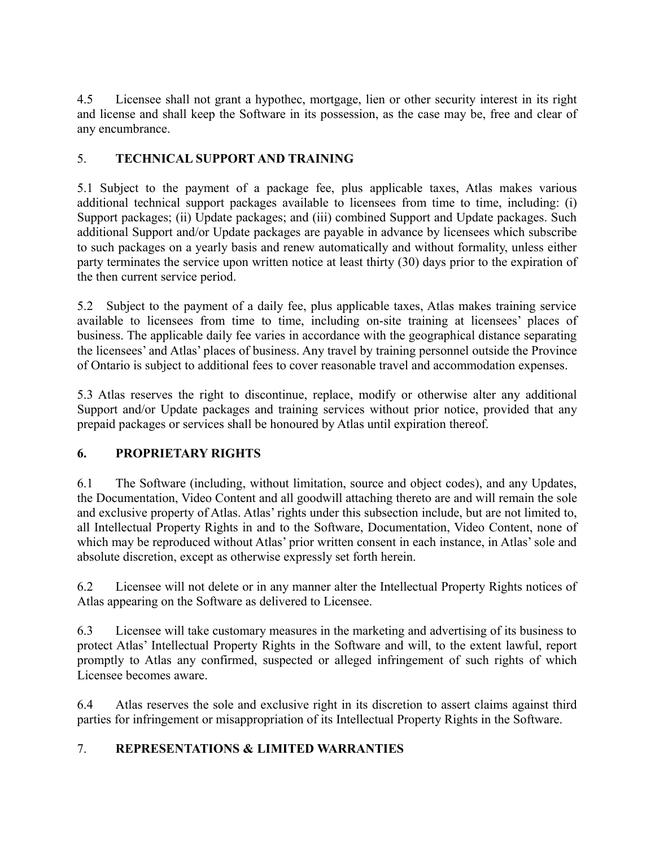4.5 Licensee shall not grant a hypothec, mortgage, lien or other security interest in its right and license and shall keep the Software in its possession, as the case may be, free and clear of any encumbrance.

# 5. **TECHNICAL SUPPORT AND TRAINING**

5.1 Subject to the payment of a package fee, plus applicable taxes, Atlas makes various additional technical support packages available to licensees from time to time, including: (i) Support packages; (ii) Update packages; and (iii) combined Support and Update packages. Such additional Support and/or Update packages are payable in advance by licensees which subscribe to such packages on a yearly basis and renew automatically and without formality, unless either party terminates the service upon written notice at least thirty (30) days prior to the expiration of the then current service period.

5.2 Subject to the payment of a daily fee, plus applicable taxes, Atlas makes training service available to licensees from time to time, including on-site training at licensees' places of business. The applicable daily fee varies in accordance with the geographical distance separating the licensees' and Atlas' places of business. Any travel by training personnel outside the Province of Ontario is subject to additional fees to cover reasonable travel and accommodation expenses.

5.3 Atlas reserves the right to discontinue, replace, modify or otherwise alter any additional Support and/or Update packages and training services without prior notice, provided that any prepaid packages or services shall be honoured by Atlas until expiration thereof.

# **6. PROPRIETARY RIGHTS**

6.1 The Software (including, without limitation, source and object codes), and any Updates, the Documentation, Video Content and all goodwill attaching thereto are and will remain the sole and exclusive property of Atlas. Atlas' rights under this subsection include, but are not limited to, all Intellectual Property Rights in and to the Software, Documentation, Video Content, none of which may be reproduced without Atlas' prior written consent in each instance, in Atlas' sole and absolute discretion, except as otherwise expressly set forth herein.

6.2 Licensee will not delete or in any manner alter the Intellectual Property Rights notices of Atlas appearing on the Software as delivered to Licensee.

6.3 Licensee will take customary measures in the marketing and advertising of its business to protect Atlas' Intellectual Property Rights in the Software and will, to the extent lawful, report promptly to Atlas any confirmed, suspected or alleged infringement of such rights of which Licensee becomes aware.

6.4 Atlas reserves the sole and exclusive right in its discretion to assert claims against third parties for infringement or misappropriation of its Intellectual Property Rights in the Software.

## 7. **REPRESENTATIONS & LIMITED WARRANTIES**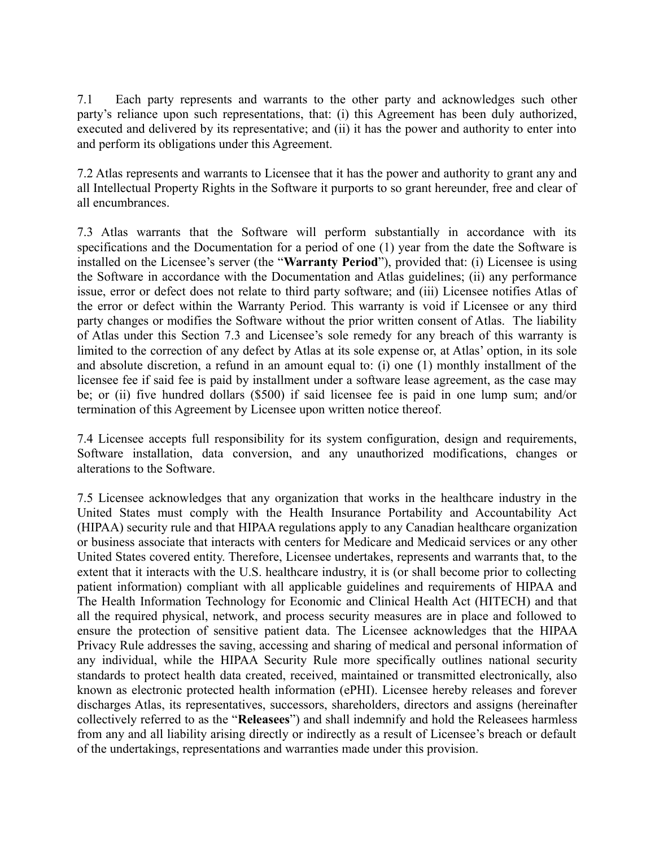7.1 Each party represents and warrants to the other party and acknowledges such other party's reliance upon such representations, that: (i) this Agreement has been duly authorized, executed and delivered by its representative; and (ii) it has the power and authority to enter into and perform its obligations under this Agreement.

7.2 Atlas represents and warrants to Licensee that it has the power and authority to grant any and all Intellectual Property Rights in the Software it purports to so grant hereunder, free and clear of all encumbrances.

7.3 Atlas warrants that the Software will perform substantially in accordance with its specifications and the Documentation for a period of one (1) year from the date the Software is installed on the Licensee's server (the "**Warranty Period**"), provided that: (i) Licensee is using the Software in accordance with the Documentation and Atlas guidelines; (ii) any performance issue, error or defect does not relate to third party software; and (iii) Licensee notifies Atlas of the error or defect within the Warranty Period. This warranty is void if Licensee or any third party changes or modifies the Software without the prior written consent of Atlas. The liability of Atlas under this Section 7.3 and Licensee's sole remedy for any breach of this warranty is limited to the correction of any defect by Atlas at its sole expense or, at Atlas' option, in its sole and absolute discretion, a refund in an amount equal to: (i) one (1) monthly installment of the licensee fee if said fee is paid by installment under a software lease agreement, as the case may be; or (ii) five hundred dollars (\$500) if said licensee fee is paid in one lump sum; and/or termination of this Agreement by Licensee upon written notice thereof.

7.4 Licensee accepts full responsibility for its system configuration, design and requirements, Software installation, data conversion, and any unauthorized modifications, changes or alterations to the Software.

7.5 Licensee acknowledges that any organization that works in the healthcare industry in the United States must comply with the Health Insurance Portability and Accountability Act (HIPAA) security rule and that HIPAA regulations apply to any Canadian healthcare organization or business associate that interacts with centers for Medicare and Medicaid services or any other United States covered entity. Therefore, Licensee undertakes, represents and warrants that, to the extent that it interacts with the U.S. healthcare industry, it is (or shall become prior to collecting patient information) compliant with all applicable guidelines and requirements of HIPAA and The Health Information Technology for Economic and Clinical Health Act (HITECH) and that all the required physical, network, and process security measures are in place and followed to ensure the protection of sensitive patient data. The Licensee acknowledges that the HIPAA Privacy Rule addresses the saving, accessing and sharing of medical and personal information of any individual, while the HIPAA Security Rule more specifically outlines national security standards to protect health data created, received, maintained or transmitted electronically, also known as electronic protected health information (ePHI). Licensee hereby releases and forever discharges Atlas, its representatives, successors, shareholders, directors and assigns (hereinafter collectively referred to as the "**Releasees**") and shall indemnify and hold the Releasees harmless from any and all liability arising directly or indirectly as a result of Licensee's breach or default of the undertakings, representations and warranties made under this provision.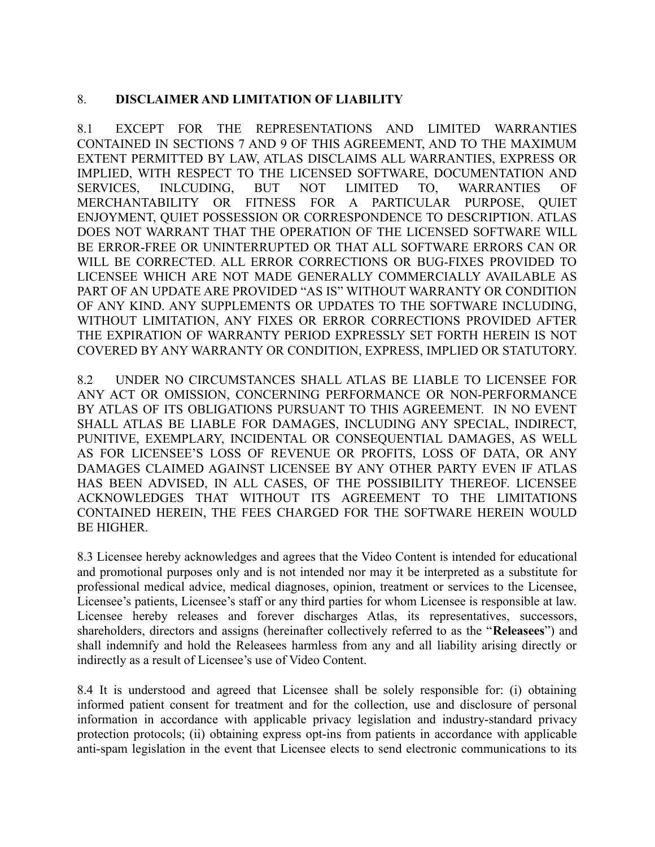## 8. **DISCLAIMER AND LIMITATION OF LIABILITY**

8.1 EXCEPT FOR THE REPRESENTATIONS AND LIMITED WARRANTIES CONTAINED IN SECTIONS 7 AND 9 OF THIS AGREEMENT, AND TO THE MAXIMUM EXTENT PERMITTED BY LAW, ATLAS DISCLAIMS ALL WARRANTIES, EXPRESS OR IMPLIED, WITH RESPECT TO THE LICENSED SOFTWARE, DOCUMENTATION AND SERVICES, INLCUDING, BUT NOT LIMITED TO, WARRANTIES OF MERCHANTABILITY OR FITNESS FOR A PARTICULAR PURPOSE, QUIET ENJOYMENT, QUIET POSSESSION OR CORRESPONDENCE TO DESCRIPTION. ATLAS DOES NOT WARRANT THAT THE OPERATION OF THE LICENSED SOFTWARE WILL BE ERROR-FREE OR UNINTERRUPTED OR THAT ALL SOFTWARE ERRORS CAN OR WILL BE CORRECTED. ALL ERROR CORRECTIONS OR BUG-FIXES PROVIDED TO LICENSEE WHICH ARE NOT MADE GENERALLY COMMERCIALLY AVAILABLE AS PART OF AN UPDATE ARE PROVIDED "AS IS" WITHOUT WARRANTY OR CONDITION OF ANY KIND. ANY SUPPLEMENTS OR UPDATES TO THE SOFTWARE INCLUDING, WITHOUT LIMITATION, ANY FIXES OR ERROR CORRECTIONS PROVIDED AFTER THE EXPIRATION OF WARRANTY PERIOD EXPRESSLY SET FORTH HEREIN IS NOT COVERED BY ANY WARRANTY OR CONDITION, EXPRESS, IMPLIED OR STATUTORY.

8.2 UNDER NO CIRCUMSTANCES SHALL ATLAS BE LIABLE TO LICENSEE FOR ANY ACT OR OMISSION, CONCERNING PERFORMANCE OR NON-PERFORMANCE BY ATLAS OF ITS OBLIGATIONS PURSUANT TO THIS AGREEMENT. IN NO EVENT SHALL ATLAS BE LIABLE FOR DAMAGES, INCLUDING ANY SPECIAL, INDIRECT, PUNITIVE, EXEMPLARY, INCIDENTAL OR CONSEQUENTIAL DAMAGES, AS WELL AS FOR LICENSEE'S LOSS OF REVENUE OR PROFITS, LOSS OF DATA, OR ANY DAMAGES CLAIMED AGAINST LICENSEE BY ANY OTHER PARTY EVEN IF ATLAS HAS BEEN ADVISED, IN ALL CASES, OF THE POSSIBILITY THEREOF. LICENSEE ACKNOWLEDGES THAT WITHOUT ITS AGREEMENT TO THE LIMITATIONS CONTAINED HEREIN, THE FEES CHARGED FOR THE SOFTWARE HEREIN WOULD BE HIGHER.

8.3 Licensee hereby acknowledges and agrees that the Video Content is intended for educational and promotional purposes only and is not intended nor may it be interpreted as a substitute for professional medical advice, medical diagnoses, opinion, treatment or services to the Licensee, Licensee's patients, Licensee's staff or any third parties for whom Licensee is responsible at law. Licensee hereby releases and forever discharges Atlas, its representatives, successors, shareholders, directors and assigns (hereinafter collectively referred to as the "**Releasees**") and shall indemnify and hold the Releasees harmless from any and all liability arising directly or indirectly as a result of Licensee's use of Video Content.

8.4 It is understood and agreed that Licensee shall be solely responsible for: (i) obtaining informed patient consent for treatment and for the collection, use and disclosure of personal information in accordance with applicable privacy legislation and industry-standard privacy protection protocols; (ii) obtaining express opt-ins from patients in accordance with applicable anti-spam legislation in the event that Licensee elects to send electronic communications to its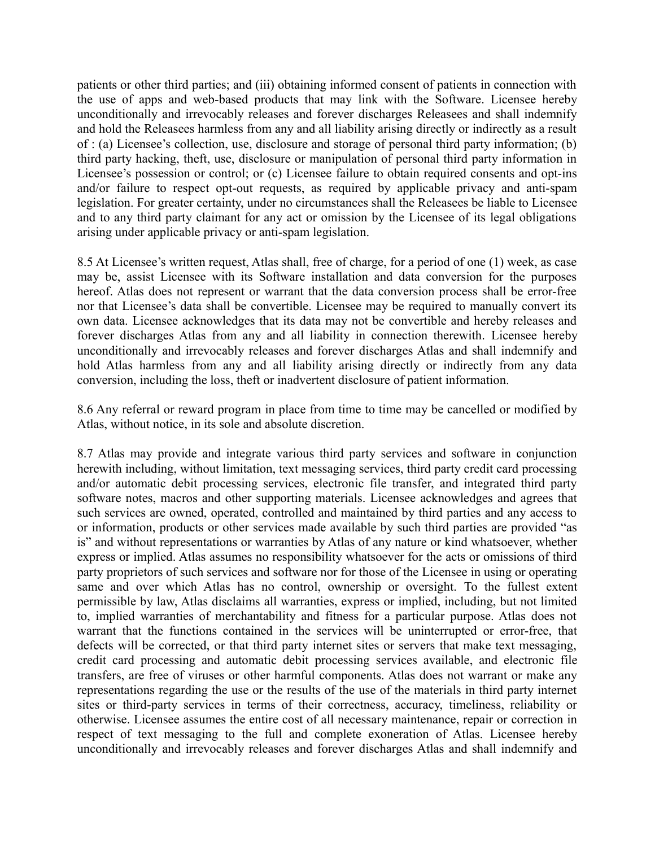patients or other third parties; and (iii) obtaining informed consent of patients in connection with the use of apps and web-based products that may link with the Software. Licensee hereby unconditionally and irrevocably releases and forever discharges Releasees and shall indemnify and hold the Releasees harmless from any and all liability arising directly or indirectly as a result of : (a) Licensee's collection, use, disclosure and storage of personal third party information; (b) third party hacking, theft, use, disclosure or manipulation of personal third party information in Licensee's possession or control; or (c) Licensee failure to obtain required consents and opt-ins and/or failure to respect opt-out requests, as required by applicable privacy and anti-spam legislation. For greater certainty, under no circumstances shall the Releasees be liable to Licensee and to any third party claimant for any act or omission by the Licensee of its legal obligations arising under applicable privacy or anti-spam legislation.

8.5 At Licensee's written request, Atlas shall, free of charge, for a period of one (1) week, as case may be, assist Licensee with its Software installation and data conversion for the purposes hereof. Atlas does not represent or warrant that the data conversion process shall be error-free nor that Licensee's data shall be convertible. Licensee may be required to manually convert its own data. Licensee acknowledges that its data may not be convertible and hereby releases and forever discharges Atlas from any and all liability in connection therewith. Licensee hereby unconditionally and irrevocably releases and forever discharges Atlas and shall indemnify and hold Atlas harmless from any and all liability arising directly or indirectly from any data conversion, including the loss, theft or inadvertent disclosure of patient information.

8.6 Any referral or reward program in place from time to time may be cancelled or modified by Atlas, without notice, in its sole and absolute discretion.

8.7 Atlas may provide and integrate various third party services and software in conjunction herewith including, without limitation, text messaging services, third party credit card processing and/or automatic debit processing services, electronic file transfer, and integrated third party software notes, macros and other supporting materials. Licensee acknowledges and agrees that such services are owned, operated, controlled and maintained by third parties and any access to or information, products or other services made available by such third parties are provided "as is" and without representations or warranties by Atlas of any nature or kind whatsoever, whether express or implied. Atlas assumes no responsibility whatsoever for the acts or omissions of third party proprietors of such services and software nor for those of the Licensee in using or operating same and over which Atlas has no control, ownership or oversight. To the fullest extent permissible by law, Atlas disclaims all warranties, express or implied, including, but not limited to, implied warranties of merchantability and fitness for a particular purpose. Atlas does not warrant that the functions contained in the services will be uninterrupted or error-free, that defects will be corrected, or that third party internet sites or servers that make text messaging, credit card processing and automatic debit processing services available, and electronic file transfers, are free of viruses or other harmful components. Atlas does not warrant or make any representations regarding the use or the results of the use of the materials in third party internet sites or third-party services in terms of their correctness, accuracy, timeliness, reliability or otherwise. Licensee assumes the entire cost of all necessary maintenance, repair or correction in respect of text messaging to the full and complete exoneration of Atlas. Licensee hereby unconditionally and irrevocably releases and forever discharges Atlas and shall indemnify and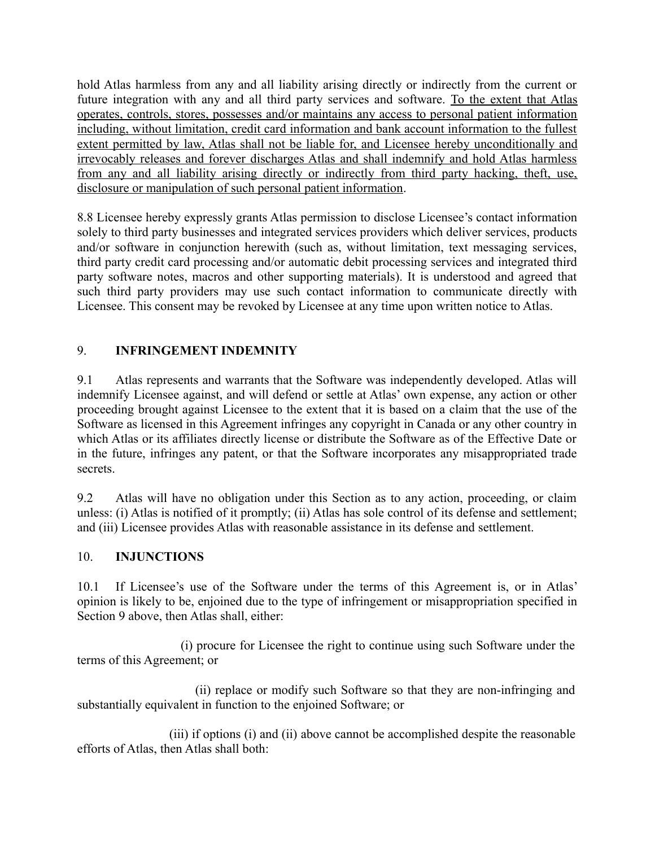hold Atlas harmless from any and all liability arising directly or indirectly from the current or future integration with any and all third party services and software. To the extent that Atlas operates, controls, stores, possesses and/or maintains any access to personal patient information including, without limitation, credit card information and bank account information to the fullest extent permitted by law, Atlas shall not be liable for, and Licensee hereby unconditionally and irrevocably releases and forever discharges Atlas and shall indemnify and hold Atlas harmless from any and all liability arising directly or indirectly from third party hacking, theft, use, disclosure or manipulation of such personal patient information.

8.8 Licensee hereby expressly grants Atlas permission to disclose Licensee's contact information solely to third party businesses and integrated services providers which deliver services, products and/or software in conjunction herewith (such as, without limitation, text messaging services, third party credit card processing and/or automatic debit processing services and integrated third party software notes, macros and other supporting materials). It is understood and agreed that such third party providers may use such contact information to communicate directly with Licensee. This consent may be revoked by Licensee at any time upon written notice to Atlas.

# 9. **INFRINGEMENT INDEMNITY**

9.1 Atlas represents and warrants that the Software was independently developed. Atlas will indemnify Licensee against, and will defend or settle at Atlas' own expense, any action or other proceeding brought against Licensee to the extent that it is based on a claim that the use of the Software as licensed in this Agreement infringes any copyright in Canada or any other country in which Atlas or its affiliates directly license or distribute the Software as of the Effective Date or in the future, infringes any patent, or that the Software incorporates any misappropriated trade secrets.

9.2 Atlas will have no obligation under this Section as to any action, proceeding, or claim unless: (i) Atlas is notified of it promptly; (ii) Atlas has sole control of its defense and settlement; and (iii) Licensee provides Atlas with reasonable assistance in its defense and settlement.

## 10. **INJUNCTIONS**

10.1 If Licensee's use of the Software under the terms of this Agreement is, or in Atlas' opinion is likely to be, enjoined due to the type of infringement or misappropriation specified in Section 9 above, then Atlas shall, either:

 (i) procure for Licensee the right to continue using such Software under the terms of this Agreement; or

 (ii) replace or modify such Software so that they are non-infringing and substantially equivalent in function to the enjoined Software; or

 (iii) if options (i) and (ii) above cannot be accomplished despite the reasonable efforts of Atlas, then Atlas shall both: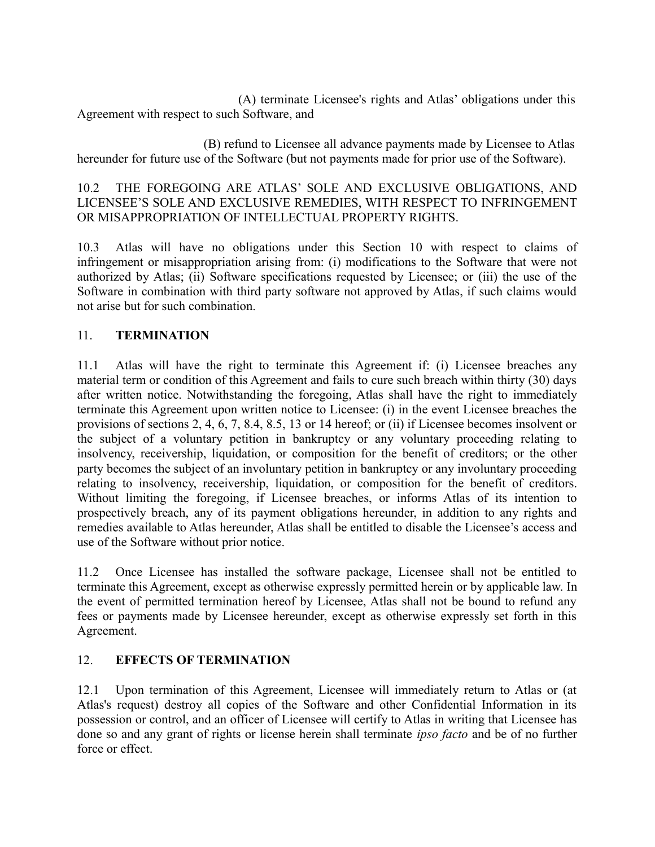(A) terminate Licensee's rights and Atlas' obligations under this Agreement with respect to such Software, and

 (B) refund to Licensee all advance payments made by Licensee to Atlas hereunder for future use of the Software (but not payments made for prior use of the Software).

## 10.2 THE FOREGOING ARE ATLAS' SOLE AND EXCLUSIVE OBLIGATIONS, AND LICENSEE'S SOLE AND EXCLUSIVE REMEDIES, WITH RESPECT TO INFRINGEMENT OR MISAPPROPRIATION OF INTELLECTUAL PROPERTY RIGHTS.

10.3 Atlas will have no obligations under this Section 10 with respect to claims of infringement or misappropriation arising from: (i) modifications to the Software that were not authorized by Atlas; (ii) Software specifications requested by Licensee; or (iii) the use of the Software in combination with third party software not approved by Atlas, if such claims would not arise but for such combination.

## 11. **TERMINATION**

11.1 Atlas will have the right to terminate this Agreement if: (i) Licensee breaches any material term or condition of this Agreement and fails to cure such breach within thirty (30) days after written notice. Notwithstanding the foregoing, Atlas shall have the right to immediately terminate this Agreement upon written notice to Licensee: (i) in the event Licensee breaches the provisions of sections 2, 4, 6, 7, 8.4, 8.5, 13 or 14 hereof; or (ii) if Licensee becomes insolvent or the subject of a voluntary petition in bankruptcy or any voluntary proceeding relating to insolvency, receivership, liquidation, or composition for the benefit of creditors; or the other party becomes the subject of an involuntary petition in bankruptcy or any involuntary proceeding relating to insolvency, receivership, liquidation, or composition for the benefit of creditors. Without limiting the foregoing, if Licensee breaches, or informs Atlas of its intention to prospectively breach, any of its payment obligations hereunder, in addition to any rights and remedies available to Atlas hereunder, Atlas shall be entitled to disable the Licensee's access and use of the Software without prior notice.

11.2 Once Licensee has installed the software package, Licensee shall not be entitled to terminate this Agreement, except as otherwise expressly permitted herein or by applicable law. In the event of permitted termination hereof by Licensee, Atlas shall not be bound to refund any fees or payments made by Licensee hereunder, except as otherwise expressly set forth in this Agreement.

### 12. **EFFECTS OF TERMINATION**

12.1 Upon termination of this Agreement, Licensee will immediately return to Atlas or (at Atlas's request) destroy all copies of the Software and other Confidential Information in its possession or control, and an officer of Licensee will certify to Atlas in writing that Licensee has done so and any grant of rights or license herein shall terminate *ipso facto* and be of no further force or effect.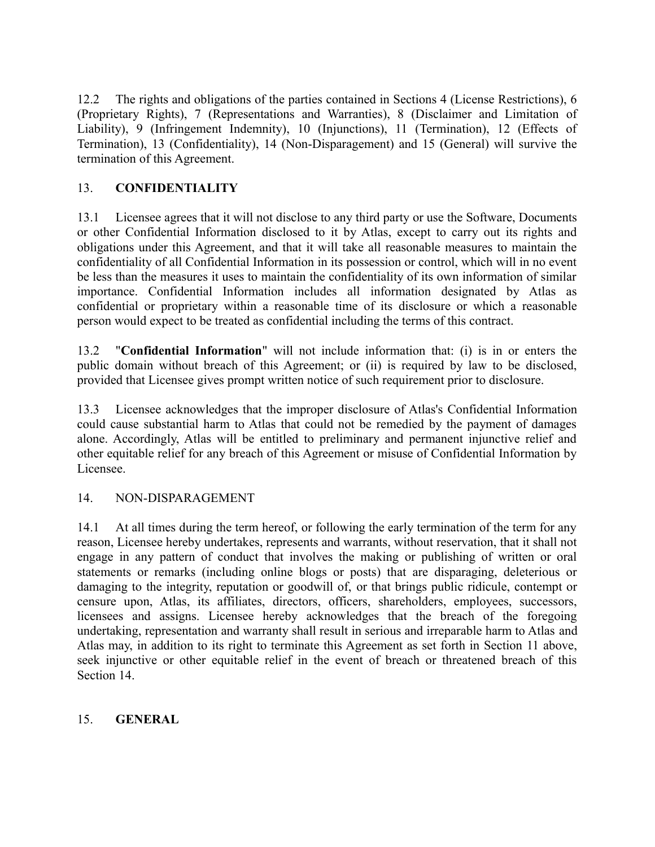12.2 The rights and obligations of the parties contained in Sections 4 (License Restrictions), 6 (Proprietary Rights), 7 (Representations and Warranties), 8 (Disclaimer and Limitation of Liability), 9 (Infringement Indemnity), 10 (Injunctions), 11 (Termination), 12 (Effects of Termination), 13 (Confidentiality), 14 (Non-Disparagement) and 15 (General) will survive the termination of this Agreement.

## 13. **CONFIDENTIALITY**

13.1 Licensee agrees that it will not disclose to any third party or use the Software, Documents or other Confidential Information disclosed to it by Atlas, except to carry out its rights and obligations under this Agreement, and that it will take all reasonable measures to maintain the confidentiality of all Confidential Information in its possession or control, which will in no event be less than the measures it uses to maintain the confidentiality of its own information of similar importance. Confidential Information includes all information designated by Atlas as confidential or proprietary within a reasonable time of its disclosure or which a reasonable person would expect to be treated as confidential including the terms of this contract.

13.2 "**Confidential Information**" will not include information that: (i) is in or enters the public domain without breach of this Agreement; or (ii) is required by law to be disclosed, provided that Licensee gives prompt written notice of such requirement prior to disclosure.

13.3 Licensee acknowledges that the improper disclosure of Atlas's Confidential Information could cause substantial harm to Atlas that could not be remedied by the payment of damages alone. Accordingly, Atlas will be entitled to preliminary and permanent injunctive relief and other equitable relief for any breach of this Agreement or misuse of Confidential Information by Licensee.

### 14. NON-DISPARAGEMENT

14.1 At all times during the term hereof, or following the early termination of the term for any reason, Licensee hereby undertakes, represents and warrants, without reservation, that it shall not engage in any pattern of conduct that involves the making or publishing of written or oral statements or remarks (including online blogs or posts) that are disparaging, deleterious or damaging to the integrity, reputation or goodwill of, or that brings public ridicule, contempt or censure upon, Atlas, its affiliates, directors, officers, shareholders, employees, successors, licensees and assigns. Licensee hereby acknowledges that the breach of the foregoing undertaking, representation and warranty shall result in serious and irreparable harm to Atlas and Atlas may, in addition to its right to terminate this Agreement as set forth in Section 11 above, seek injunctive or other equitable relief in the event of breach or threatened breach of this Section 14.

### 15. **GENERAL**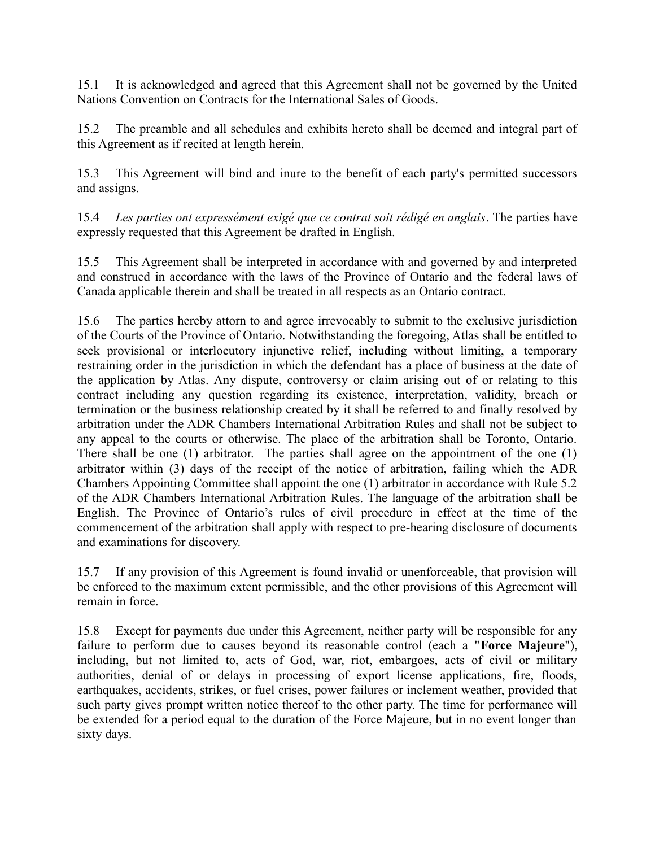15.1 It is acknowledged and agreed that this Agreement shall not be governed by the United Nations Convention on Contracts for the International Sales of Goods.

15.2 The preamble and all schedules and exhibits hereto shall be deemed and integral part of this Agreement as if recited at length herein.

15.3 This Agreement will bind and inure to the benefit of each party's permitted successors and assigns.

15.4 *Les parties ont expressément exigé que ce contrat soit rédigé en anglais*. The parties have expressly requested that this Agreement be drafted in English.

15.5 This Agreement shall be interpreted in accordance with and governed by and interpreted and construed in accordance with the laws of the Province of Ontario and the federal laws of Canada applicable therein and shall be treated in all respects as an Ontario contract.

15.6 The parties hereby attorn to and agree irrevocably to submit to the exclusive jurisdiction of the Courts of the Province of Ontario. Notwithstanding the foregoing, Atlas shall be entitled to seek provisional or interlocutory injunctive relief, including without limiting, a temporary restraining order in the jurisdiction in which the defendant has a place of business at the date of the application by Atlas. Any dispute, controversy or claim arising out of or relating to this contract including any question regarding its existence, interpretation, validity, breach or termination or the business relationship created by it shall be referred to and finally resolved by arbitration under the ADR Chambers International Arbitration Rules and shall not be subject to any appeal to the courts or otherwise. The place of the arbitration shall be Toronto, Ontario. There shall be one (1) arbitrator. The parties shall agree on the appointment of the one (1) arbitrator within (3) days of the receipt of the notice of arbitration, failing which the ADR Chambers Appointing Committee shall appoint the one (1) arbitrator in accordance with Rule 5.2 of the ADR Chambers International Arbitration Rules. The language of the arbitration shall be English. The Province of Ontario's rules of civil procedure in effect at the time of the commencement of the arbitration shall apply with respect to pre-hearing disclosure of documents and examinations for discovery.

15.7 If any provision of this Agreement is found invalid or unenforceable, that provision will be enforced to the maximum extent permissible, and the other provisions of this Agreement will remain in force.

15.8 Except for payments due under this Agreement, neither party will be responsible for any failure to perform due to causes beyond its reasonable control (each a "**Force Majeure**"), including, but not limited to, acts of God, war, riot, embargoes, acts of civil or military authorities, denial of or delays in processing of export license applications, fire, floods, earthquakes, accidents, strikes, or fuel crises, power failures or inclement weather, provided that such party gives prompt written notice thereof to the other party. The time for performance will be extended for a period equal to the duration of the Force Majeure, but in no event longer than sixty days.